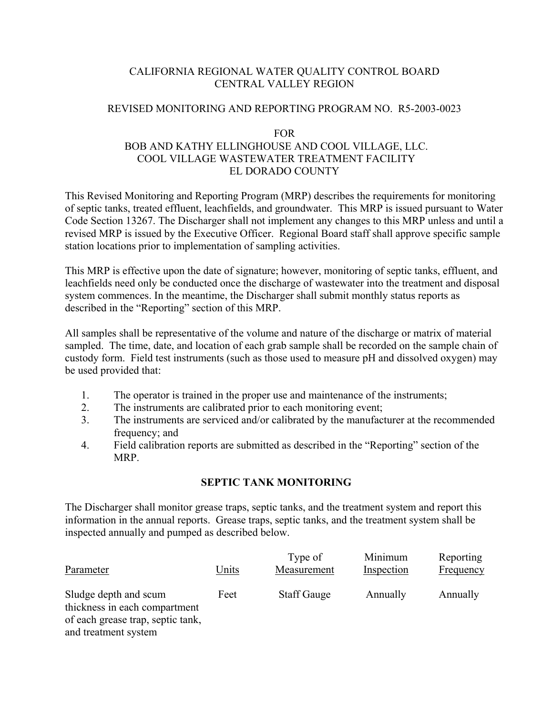# CALIFORNIA REGIONAL WATER QUALITY CONTROL BOARD CENTRAL VALLEY REGION

### REVISED MONITORING AND REPORTING PROGRAM NO. R5-2003-0023

#### FOR

# BOB AND KATHY ELLINGHOUSE AND COOL VILLAGE, LLC. COOL VILLAGE WASTEWATER TREATMENT FACILITY EL DORADO COUNTY

This Revised Monitoring and Reporting Program (MRP) describes the requirements for monitoring of septic tanks, treated effluent, leachfields, and groundwater. This MRP is issued pursuant to Water Code Section 13267. The Discharger shall not implement any changes to this MRP unless and until a revised MRP is issued by the Executive Officer. Regional Board staff shall approve specific sample station locations prior to implementation of sampling activities.

This MRP is effective upon the date of signature; however, monitoring of septic tanks, effluent, and leachfields need only be conducted once the discharge of wastewater into the treatment and disposal system commences. In the meantime, the Discharger shall submit monthly status reports as described in the "Reporting" section of this MRP.

All samples shall be representative of the volume and nature of the discharge or matrix of material sampled. The time, date, and location of each grab sample shall be recorded on the sample chain of custody form. Field test instruments (such as those used to measure pH and dissolved oxygen) may be used provided that:

- 1. The operator is trained in the proper use and maintenance of the instruments;
- 2. The instruments are calibrated prior to each monitoring event;
- 3. The instruments are serviced and/or calibrated by the manufacturer at the recommended frequency; and
- 4. Field calibration reports are submitted as described in the "Reporting" section of the MRP.

# **SEPTIC TANK MONITORING**

The Discharger shall monitor grease traps, septic tanks, and the treatment system and report this information in the annual reports. Grease traps, septic tanks, and the treatment system shall be inspected annually and pumped as described below.

| Parameter                                              | Units | Type of<br>Measurement | Minimum<br>Inspection | Reporting<br>Frequency |
|--------------------------------------------------------|-------|------------------------|-----------------------|------------------------|
| Sludge depth and scum<br>thickness in each compartment | Feet  | <b>Staff Gauge</b>     | Annually              | Annually               |
| of each grease trap, septic tank,                      |       |                        |                       |                        |

and treatment system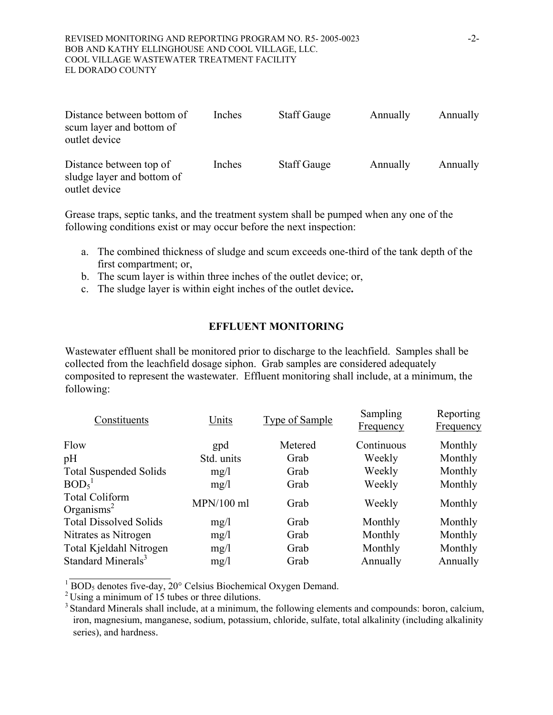#### REVISED MONITORING AND REPORTING PROGRAM NO. R5- 2005-0023 -2- BOB AND KATHY ELLINGHOUSE AND COOL VILLAGE, LLC. COOL VILLAGE WASTEWATER TREATMENT FACILITY EL DORADO COUNTY

| Distance between bottom of<br>scum layer and bottom of<br>outlet device | Inches | <b>Staff Gauge</b> | Annually | Annually |
|-------------------------------------------------------------------------|--------|--------------------|----------|----------|
| Distance between top of<br>sludge layer and bottom of<br>outlet device  | Inches | <b>Staff Gauge</b> | Annually | Annually |

Grease traps, septic tanks, and the treatment system shall be pumped when any one of the following conditions exist or may occur before the next inspection:

- a. The combined thickness of sludge and scum exceeds one-third of the tank depth of the first compartment; or,
- b. The scum layer is within three inches of the outlet device; or,
- c. The sludge layer is within eight inches of the outlet device**.**

### **EFFLUENT MONITORING**

Wastewater effluent shall be monitored prior to discharge to the leachfield. Samples shall be collected from the leachfield dosage siphon. Grab samples are considered adequately composited to represent the wastewater. Effluent monitoring shall include, at a minimum, the following:

| Constituents                                    | Units        | <b>Type of Sample</b> | Sampling<br>Frequency | Reporting<br>Frequency |
|-------------------------------------------------|--------------|-----------------------|-----------------------|------------------------|
| Flow                                            | gpd          | Metered               | Continuous            | Monthly                |
| pH                                              | Std. units   | Grab                  | Weekly                | Monthly                |
| <b>Total Suspended Solids</b>                   | mg/l         | Grab                  | Weekly                | Monthly                |
| BOD <sub>5</sub>                                | mg/l         | Grab                  | Weekly                | Monthly                |
| <b>Total Coliform</b><br>Organisms <sup>2</sup> | $MPN/100$ ml | Grab                  | Weekly                | Monthly                |
| <b>Total Dissolved Solids</b>                   | mg/1         | Grab                  | Monthly               | Monthly                |
| Nitrates as Nitrogen                            | mg/1         | Grab                  | Monthly               | Monthly                |
| Total Kjeldahl Nitrogen                         | mg/1         | Grab                  | Monthly               | Monthly                |
| Standard Minerals <sup>3</sup>                  | mg/1         | Grab                  | Annually              | Annually               |
|                                                 |              |                       |                       |                        |

 $\sqrt[1]{\text{BOD}_5}$  denotes five-day, 20° Celsius Biochemical Oxygen Demand.

 $2^2$ Using a minimum of 15 tubes or three dilutions.

<sup>&</sup>lt;sup>3</sup> Standard Minerals shall include, at a minimum, the following elements and compounds: boron, calcium, iron, magnesium, manganese, sodium, potassium, chloride, sulfate, total alkalinity (including alkalinity series), and hardness.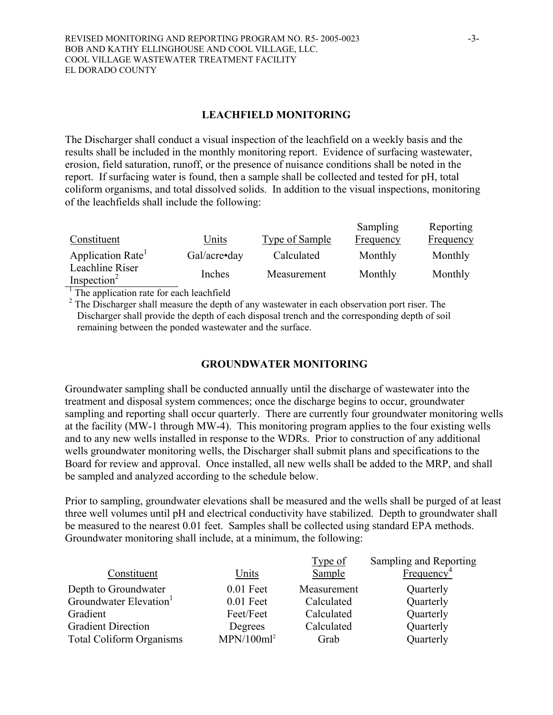### **LEACHFIELD MONITORING**

The Discharger shall conduct a visual inspection of the leachfield on a weekly basis and the results shall be included in the monthly monitoring report. Evidence of surfacing wastewater, erosion, field saturation, runoff, or the presence of nuisance conditions shall be noted in the report. If surfacing water is found, then a sample shall be collected and tested for pH, total coliform organisms, and total dissolved solids. In addition to the visual inspections, monitoring of the leachfields shall include the following:

| Constituent                                | Units        | Type of Sample | Sampling<br>Frequency | Reporting<br><b>Frequency</b> |
|--------------------------------------------|--------------|----------------|-----------------------|-------------------------------|
| Application Rate                           | Gal/acre•day | Calculated     | Monthly               | Monthly                       |
| Leachline Riser<br>Inspection <sup>2</sup> | Inches       | Measurement    | Monthly               | Monthly                       |

<sup>1</sup> The application rate for each leachfield

 $2^2$  The Discharger shall measure the depth of any wastewater in each observation port riser. The Discharger shall provide the depth of each disposal trench and the corresponding depth of soil remaining between the ponded wastewater and the surface.

# **GROUNDWATER MONITORING**

Groundwater sampling shall be conducted annually until the discharge of wastewater into the treatment and disposal system commences; once the discharge begins to occur, groundwater sampling and reporting shall occur quarterly. There are currently four groundwater monitoring wells at the facility (MW-1 through MW-4). This monitoring program applies to the four existing wells and to any new wells installed in response to the WDRs. Prior to construction of any additional wells groundwater monitoring wells, the Discharger shall submit plans and specifications to the Board for review and approval. Once installed, all new wells shall be added to the MRP, and shall be sampled and analyzed according to the schedule below.

Prior to sampling, groundwater elevations shall be measured and the wells shall be purged of at least three well volumes until pH and electrical conductivity have stabilized. Depth to groundwater shall be measured to the nearest 0.01 feet. Samples shall be collected using standard EPA methods. Groundwater monitoring shall include, at a minimum, the following:

|                                    |                        | Type of     | Sampling and Reporting |
|------------------------------------|------------------------|-------------|------------------------|
| Constituent                        | Units                  | Sample      | Frequency <sup>4</sup> |
| Depth to Groundwater               | $0.01$ Feet            | Measurement | Quarterly              |
| Groundwater Elevation <sup>1</sup> | $0.01$ Feet            | Calculated  | Quarterly              |
| Gradient                           | Feet/Feet              | Calculated  | Quarterly              |
| <b>Gradient Direction</b>          | Degrees                | Calculated  | Quarterly              |
| <b>Total Coliform Organisms</b>    | MPN/100ml <sup>2</sup> | Grab        | Quarterly              |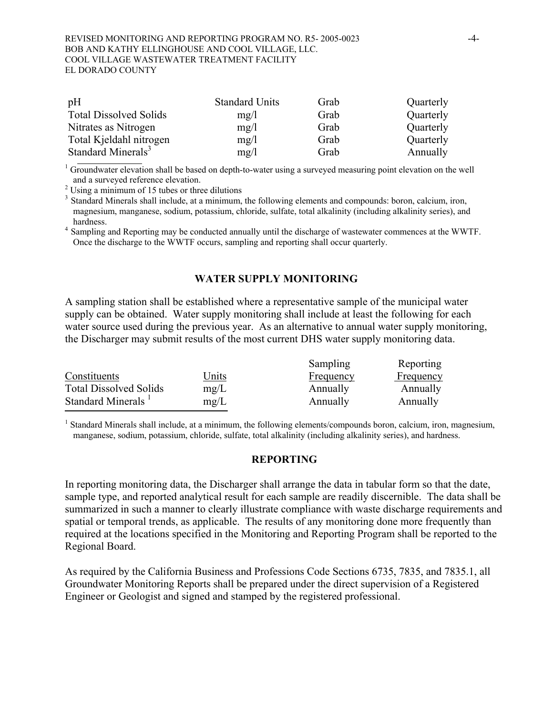| pH                             | <b>Standard Units</b> | Grab | Quarterly |
|--------------------------------|-----------------------|------|-----------|
| <b>Total Dissolved Solids</b>  | mg/1                  | Grab | Quarterly |
| Nitrates as Nitrogen           | mg/1                  | Grab | Quarterly |
| Total Kjeldahl nitrogen        | mg/l                  | Grab | Quarterly |
| Standard Minerals <sup>3</sup> | mg/l                  | Grab | Annually  |

<sup>1</sup> Groundwater elevation shall be based on depth-to-water using a surveyed measuring point elevation on the well and a surveyed reference elevation. 2 Using a minimum of 15 tubes or three dilutions

<sup>3</sup> Standard Minerals shall include, at a minimum, the following elements and compounds: boron, calcium, iron, magnesium, manganese, sodium, potassium, chloride, sulfate, total alkalinity (including alkalinity series), and

hardness. 4 Sampling and Reporting may be conducted annually until the discharge of wastewater commences at the WWTF. Once the discharge to the WWTF occurs, sampling and reporting shall occur quarterly.

#### **WATER SUPPLY MONITORING**

A sampling station shall be established where a representative sample of the municipal water supply can be obtained. Water supply monitoring shall include at least the following for each water source used during the previous year. As an alternative to annual water supply monitoring, the Discharger may submit results of the most current DHS water supply monitoring data.

|                                |       | Sampling         | Reporting |
|--------------------------------|-------|------------------|-----------|
| Constituents                   | Units | <b>Frequency</b> | Frequency |
| <b>Total Dissolved Solids</b>  | mg/L  | Annually         | Annually  |
| Standard Minerals <sup>1</sup> | mg/L  | Annually         | Annually  |

<sup>1</sup> Standard Minerals shall include, at a minimum, the following elements/compounds boron, calcium, iron, magnesium, manganese, sodium, potassium, chloride, sulfate, total alkalinity (including alkalinity series), and hardness.

#### **REPORTING**

In reporting monitoring data, the Discharger shall arrange the data in tabular form so that the date, sample type, and reported analytical result for each sample are readily discernible. The data shall be summarized in such a manner to clearly illustrate compliance with waste discharge requirements and spatial or temporal trends, as applicable. The results of any monitoring done more frequently than required at the locations specified in the Monitoring and Reporting Program shall be reported to the Regional Board.

As required by the California Business and Professions Code Sections 6735, 7835, and 7835.1, all Groundwater Monitoring Reports shall be prepared under the direct supervision of a Registered Engineer or Geologist and signed and stamped by the registered professional.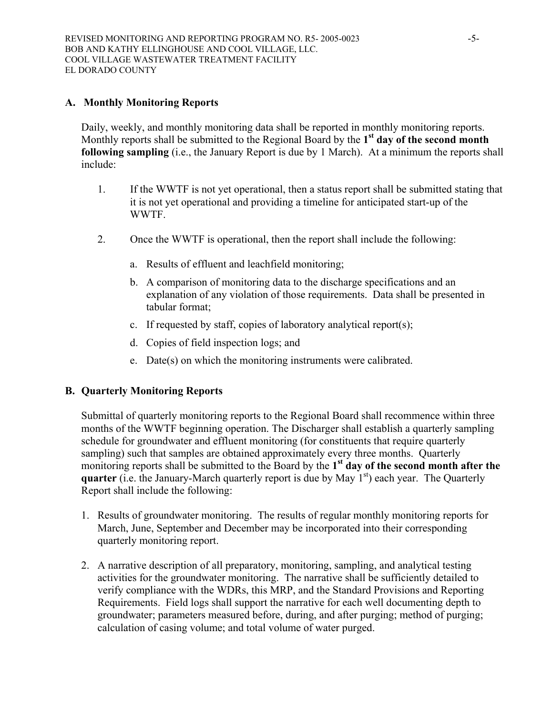### **A. Monthly Monitoring Reports**

Daily, weekly, and monthly monitoring data shall be reported in monthly monitoring reports. Monthly reports shall be submitted to the Regional Board by the **1st day of the second month following sampling** (i.e., the January Report is due by 1 March). At a minimum the reports shall include:

- 1. If the WWTF is not yet operational, then a status report shall be submitted stating that it is not yet operational and providing a timeline for anticipated start-up of the WWTF.
- 2. Once the WWTF is operational, then the report shall include the following:
	- a. Results of effluent and leachfield monitoring;
	- b. A comparison of monitoring data to the discharge specifications and an explanation of any violation of those requirements. Data shall be presented in tabular format;
	- c. If requested by staff, copies of laboratory analytical report(s);
	- d. Copies of field inspection logs; and
	- e. Date(s) on which the monitoring instruments were calibrated.

# **B. Quarterly Monitoring Reports**

Submittal of quarterly monitoring reports to the Regional Board shall recommence within three months of the WWTF beginning operation. The Discharger shall establish a quarterly sampling schedule for groundwater and effluent monitoring (for constituents that require quarterly sampling) such that samples are obtained approximately every three months. Quarterly monitoring reports shall be submitted to the Board by the **1st day of the second month after the quarter** (i.e. the January-March quarterly report is due by May 1<sup>st</sup>) each year. The Quarterly Report shall include the following:

- 1. Results of groundwater monitoring. The results of regular monthly monitoring reports for March, June, September and December may be incorporated into their corresponding quarterly monitoring report.
- 2. A narrative description of all preparatory, monitoring, sampling, and analytical testing activities for the groundwater monitoring. The narrative shall be sufficiently detailed to verify compliance with the WDRs, this MRP, and the Standard Provisions and Reporting Requirements. Field logs shall support the narrative for each well documenting depth to groundwater; parameters measured before, during, and after purging; method of purging; calculation of casing volume; and total volume of water purged.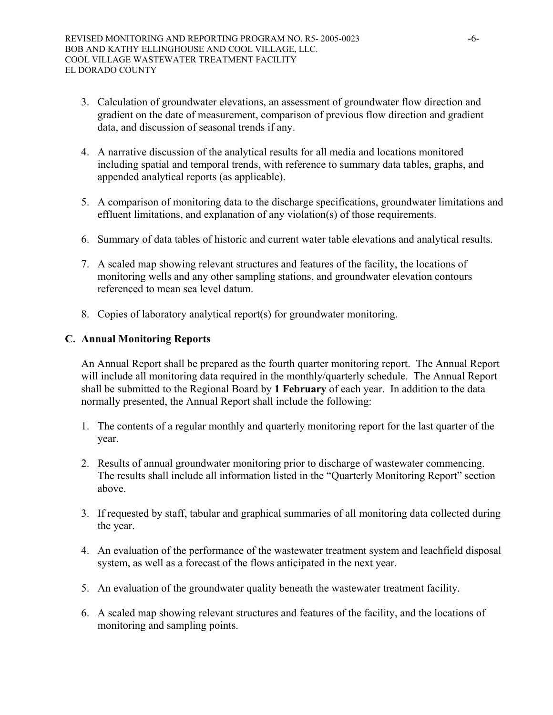- 3. Calculation of groundwater elevations, an assessment of groundwater flow direction and gradient on the date of measurement, comparison of previous flow direction and gradient data, and discussion of seasonal trends if any.
- 4. A narrative discussion of the analytical results for all media and locations monitored including spatial and temporal trends, with reference to summary data tables, graphs, and appended analytical reports (as applicable).
- 5. A comparison of monitoring data to the discharge specifications, groundwater limitations and effluent limitations, and explanation of any violation(s) of those requirements.
- 6. Summary of data tables of historic and current water table elevations and analytical results.
- 7. A scaled map showing relevant structures and features of the facility, the locations of monitoring wells and any other sampling stations, and groundwater elevation contours referenced to mean sea level datum.
- 8. Copies of laboratory analytical report(s) for groundwater monitoring.

### **C. Annual Monitoring Reports**

An Annual Report shall be prepared as the fourth quarter monitoring report. The Annual Report will include all monitoring data required in the monthly/quarterly schedule. The Annual Report shall be submitted to the Regional Board by **1 February** of each year. In addition to the data normally presented, the Annual Report shall include the following:

- 1. The contents of a regular monthly and quarterly monitoring report for the last quarter of the year.
- 2. Results of annual groundwater monitoring prior to discharge of wastewater commencing. The results shall include all information listed in the "Quarterly Monitoring Report" section above.
- 3. If requested by staff, tabular and graphical summaries of all monitoring data collected during the year.
- 4. An evaluation of the performance of the wastewater treatment system and leachfield disposal system, as well as a forecast of the flows anticipated in the next year.
- 5. An evaluation of the groundwater quality beneath the wastewater treatment facility.
- 6. A scaled map showing relevant structures and features of the facility, and the locations of monitoring and sampling points.